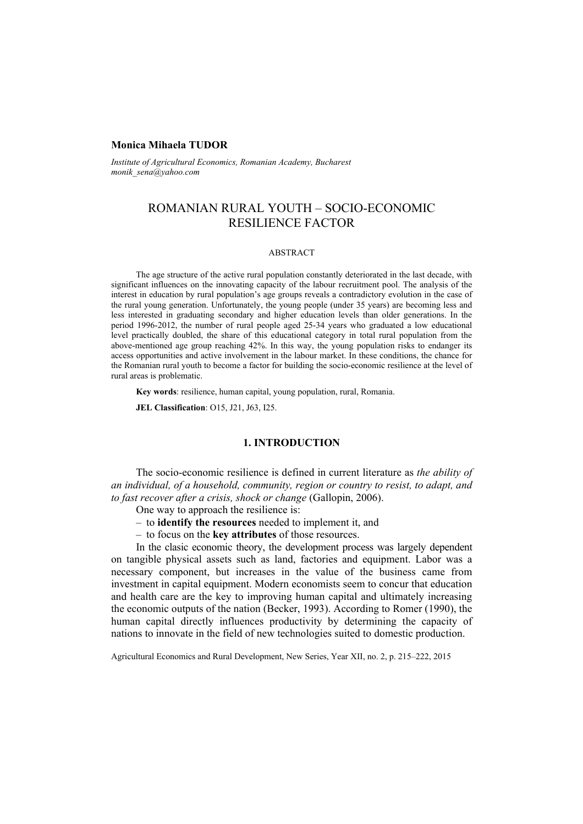# **Monica Mihaela TUDOR**

*Institute of Agricultural Economics, Romanian Academy, Bucharest monik\_sena@yahoo.com* 

# ROMANIAN RURAL YOUTH – SOCIO-ECONOMIC RESILIENCE FACTOR

#### ABSTRACT

The age structure of the active rural population constantly deteriorated in the last decade, with significant influences on the innovating capacity of the labour recruitment pool. The analysis of the interest in education by rural population's age groups reveals a contradictory evolution in the case of the rural young generation. Unfortunately, the young people (under 35 years) are becoming less and less interested in graduating secondary and higher education levels than older generations. In the period 1996-2012, the number of rural people aged 25-34 years who graduated a low educational level practically doubled, the share of this educational category in total rural population from the above-mentioned age group reaching 42%. In this way, the young population risks to endanger its access opportunities and active involvement in the labour market. In these conditions, the chance for the Romanian rural youth to become a factor for building the socio-economic resilience at the level of rural areas is problematic.

**Key words**: resilience, human capital, young population, rural, Romania.

**JEL Classification**: O15, J21, J63, I25.

# **1. INTRODUCTION**

The socio-economic resilience is defined in current literature as *the ability of an individual, of a household, community, region or country to resist, to adapt, and to fast recover after a crisis, shock or change* (Gallopin, 2006).

- One way to approach the resilience is:
- to **identify the resources** needed to implement it, and
- to focus on the **key attributes** of those resources.

In the clasic economic theory, the development process was largely dependent on tangible physical assets such as land, factories and equipment. Labor was a necessary component, but increases in the value of the business came from investment in capital equipment. Modern economists seem to concur that education and health care are the key to improving human capital and ultimately increasing the economic outputs of the nation (Becker, 1993). According to Romer (1990), the human capital directly influences productivity by determining the capacity of nations to innovate in the field of new technologies suited to domestic production.

Agricultural Economics and Rural Development, New Series, Year XII, no. 2, p. 215–222, 2015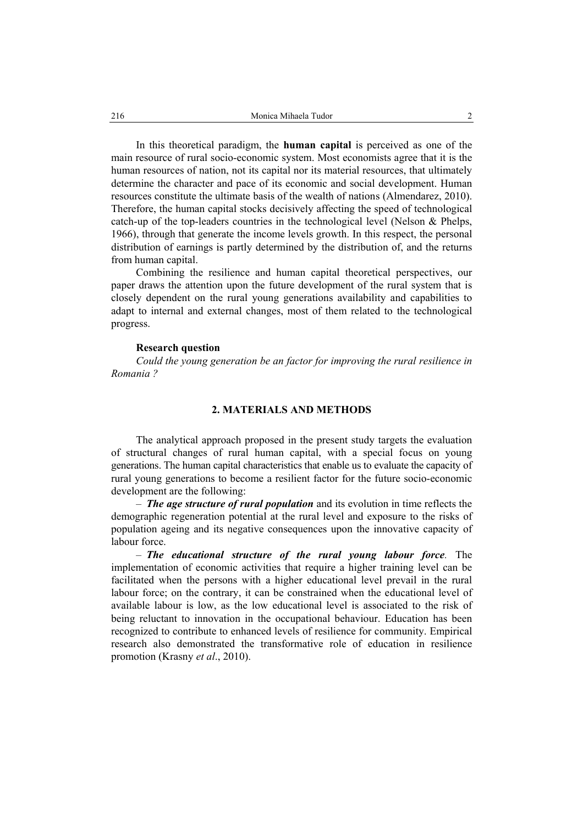In this theoretical paradigm, the **human capital** is perceived as one of the main resource of rural socio-economic system. Most economists agree that it is the human resources of nation, not its capital nor its material resources, that ultimately determine the character and pace of its economic and social development. Human resources constitute the ultimate basis of the wealth of nations (Almendarez, 2010). Therefore, the human capital stocks decisively affecting the speed of technological catch-up of the top-leaders countries in the technological level (Nelson & Phelps, 1966), through that generate the income levels growth. In this respect, the personal distribution of earnings is partly determined by the distribution of, and the returns from human capital.

Combining the resilience and human capital theoretical perspectives, our paper draws the attention upon the future development of the rural system that is closely dependent on the rural young generations availability and capabilities to adapt to internal and external changes, most of them related to the technological progress.

### **Research question**

*Could the young generation be an factor for improving the rural resilience in Romania ?* 

# **2. MATERIALS AND METHODS**

The analytical approach proposed in the present study targets the evaluation of structural changes of rural human capital, with a special focus on young generations. The human capital characteristics that enable us to evaluate the capacity of rural young generations to become a resilient factor for the future socio-economic development are the following:

– *The age structure of rural population* and its evolution in time reflects the demographic regeneration potential at the rural level and exposure to the risks of population ageing and its negative consequences upon the innovative capacity of labour force.

– *The educational structure of the rural young labour force.* The implementation of economic activities that require a higher training level can be facilitated when the persons with a higher educational level prevail in the rural labour force; on the contrary, it can be constrained when the educational level of available labour is low, as the low educational level is associated to the risk of being reluctant to innovation in the occupational behaviour. Education has been recognized to contribute to enhanced levels of resilience for community. Empirical research also demonstrated the transformative role of education in resilience promotion (Krasny *et al*., 2010).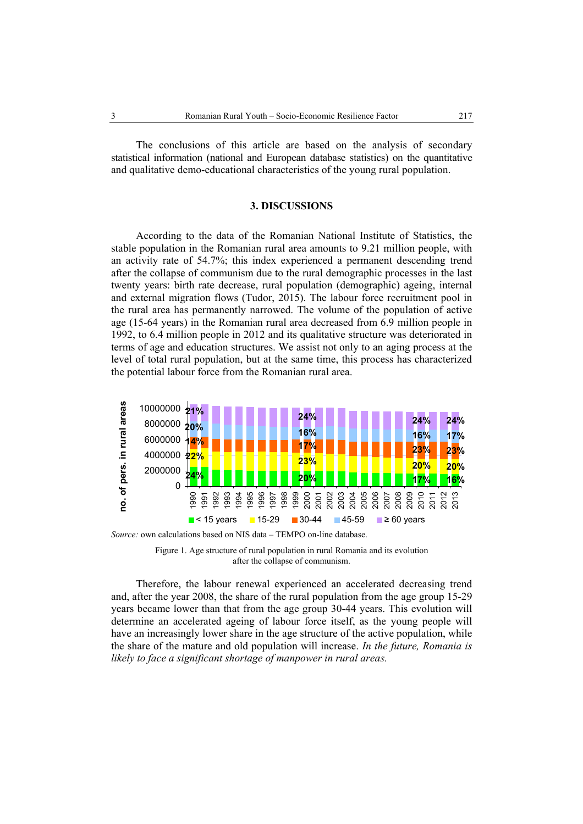The conclusions of this article are based on the analysis of secondary statistical information (national and European database statistics) on the quantitative and qualitative demo-educational characteristics of the young rural population.

#### **3. DISCUSSIONS**

According to the data of the Romanian National Institute of Statistics, the stable population in the Romanian rural area amounts to 9.21 million people, with an activity rate of 54.7%; this index experienced a permanent descending trend after the collapse of communism due to the rural demographic processes in the last twenty years: birth rate decrease, rural population (demographic) ageing, internal and external migration flows (Tudor, 2015). The labour force recruitment pool in the rural area has permanently narrowed. The volume of the population of active age (15-64 years) in the Romanian rural area decreased from 6.9 million people in 1992, to 6.4 million people in 2012 and its qualitative structure was deteriorated in terms of age and education structures. We assist not only to an aging process at the level of total rural population, but at the same time, this process has characterized the potential labour force from the Romanian rural area.



*Source:* own calculations based on NIS data – TEMPO on-line database.



Therefore, the labour renewal experienced an accelerated decreasing trend and, after the year 2008, the share of the rural population from the age group 15-29 years became lower than that from the age group 30-44 years. This evolution will determine an accelerated ageing of labour force itself, as the young people will have an increasingly lower share in the age structure of the active population, while the share of the mature and old population will increase. *In the future, Romania is likely to face a significant shortage of manpower in rural areas.*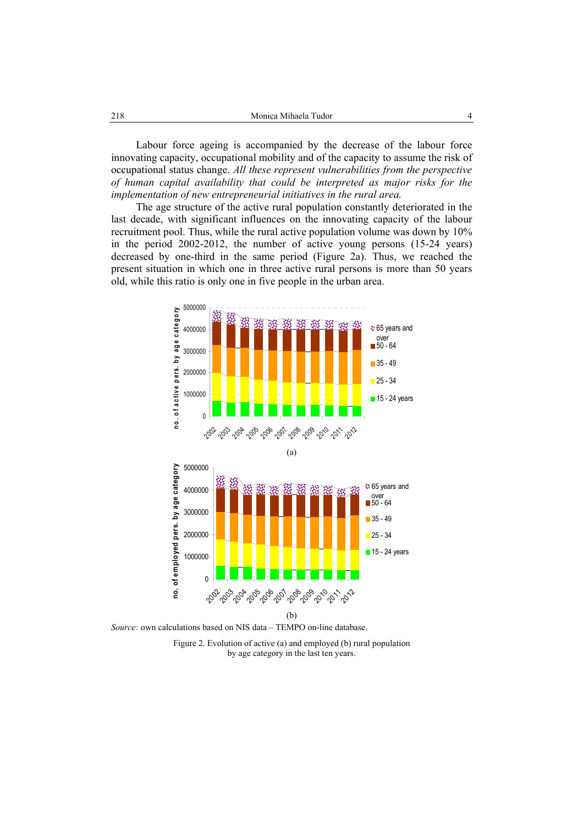Labour force ageing is accompanied by the decrease of the labour force innovating capacity, occupational mobility and of the capacity to assume the risk of occupational status change. *All these represent vulnerabilities from the perspective of human capital availability that could be interpreted as major risks for the implementation of new entrepreneurial initiatives in the rural area.* 

The age structure of the active rural population constantly deteriorated in the last decade, with significant influences on the innovating capacity of the labour recruitment pool. Thus, while the rural active population volume was down by 10% in the period 2002-2012, the number of active young persons (15-24 years) decreased by one-third in the same period (Figure 2a). Thus, we reached the present situation in which one in three active rural persons is more than 50 years old, while this ratio is only one in five people in the urban area.



*Source:* own calculations based on NIS data – TEMPO on-line database.

Figure 2. Evolution of active (a) and employed (b) rural population by age category in the last ten years.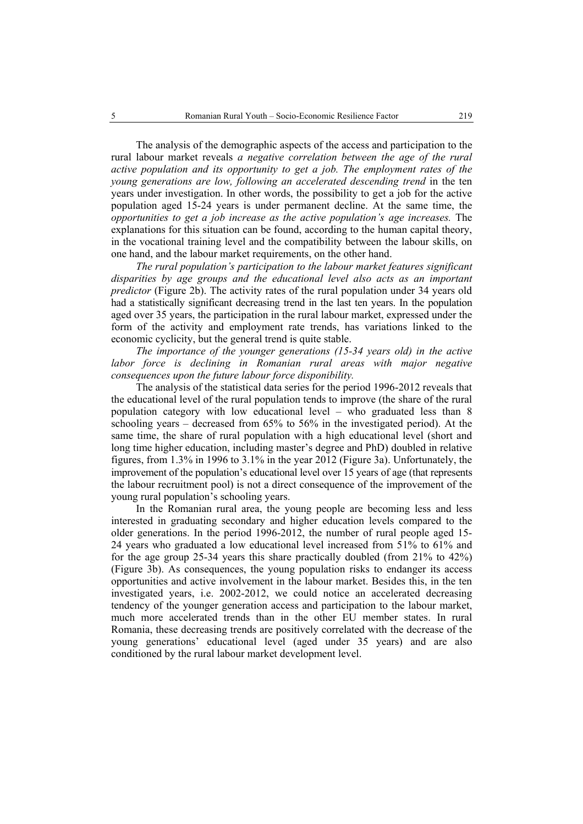The analysis of the demographic aspects of the access and participation to the rural labour market reveals *a negative correlation between the age of the rural active population and its opportunity to get a job. The employment rates of the young generations are low, following an accelerated descending trend* in the ten years under investigation. In other words, the possibility to get a job for the active population aged 15-24 years is under permanent decline. At the same time, the *opportunities to get a job increase as the active population's age increases.* The explanations for this situation can be found, according to the human capital theory, in the vocational training level and the compatibility between the labour skills, on one hand, and the labour market requirements, on the other hand.

*The rural population's participation to the labour market features significant disparities by age groups and the educational level also acts as an important predictor* (Figure 2b). The activity rates of the rural population under 34 years old had a statistically significant decreasing trend in the last ten years. In the population aged over 35 years, the participation in the rural labour market, expressed under the form of the activity and employment rate trends, has variations linked to the economic cyclicity, but the general trend is quite stable.

*The importance of the younger generations (15-34 years old) in the active*  labor force is declining in Romanian rural areas with major negative *consequences upon the future labour force disponibility.* 

The analysis of the statistical data series for the period 1996-2012 reveals that the educational level of the rural population tends to improve (the share of the rural population category with low educational level – who graduated less than 8 schooling years – decreased from 65% to 56% in the investigated period). At the same time, the share of rural population with a high educational level (short and long time higher education, including master's degree and PhD) doubled in relative figures, from 1.3% in 1996 to 3.1% in the year 2012 (Figure 3a). Unfortunately, the improvement of the population's educational level over 15 years of age (that represents the labour recruitment pool) is not a direct consequence of the improvement of the young rural population's schooling years.

In the Romanian rural area, the young people are becoming less and less interested in graduating secondary and higher education levels compared to the older generations. In the period 1996-2012, the number of rural people aged 15- 24 years who graduated a low educational level increased from 51% to 61% and for the age group 25-34 years this share practically doubled (from 21% to 42%) (Figure 3b). As consequences, the young population risks to endanger its access opportunities and active involvement in the labour market. Besides this, in the ten investigated years, i.e. 2002-2012, we could notice an accelerated decreasing tendency of the younger generation access and participation to the labour market, much more accelerated trends than in the other EU member states. In rural Romania, these decreasing trends are positively correlated with the decrease of the young generations' educational level (aged under 35 years) and are also conditioned by the rural labour market development level.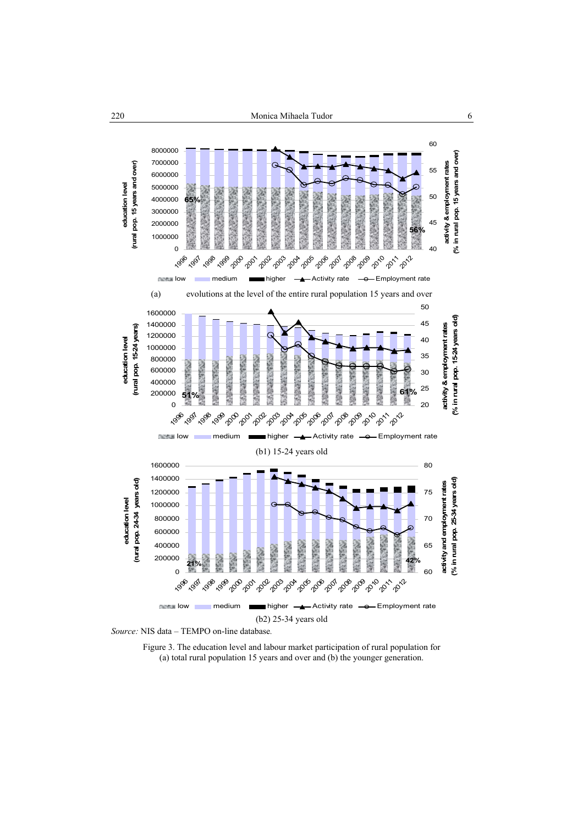



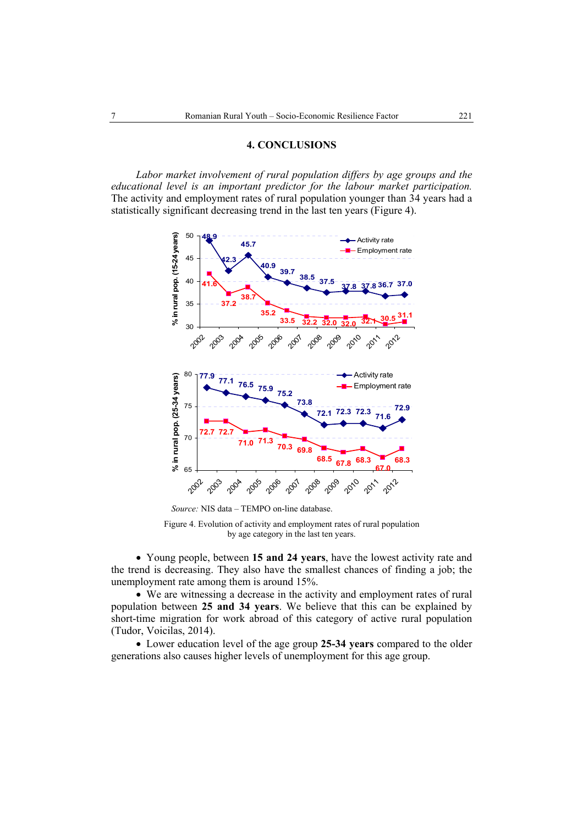## **4. CONCLUSIONS**

*Labor market involvement of rural population differs by age groups and the educational level is an important predictor for the labour market participation.*  The activity and employment rates of rural population younger than 34 years had a statistically significant decreasing trend in the last ten years (Figure 4).



 *Source:* NIS data – TEMPO on-line database.

Figure 4. Evolution of activity and employment rates of rural population by age category in the last ten years.

• Young people, between **15 and 24 years**, have the lowest activity rate and the trend is decreasing. They also have the smallest chances of finding a job; the unemployment rate among them is around 15%.

• We are witnessing a decrease in the activity and employment rates of rural population between **25 and 34 years**. We believe that this can be explained by short-time migration for work abroad of this category of active rural population (Tudor, Voicilas, 2014).

• Lower education level of the age group **25-34 years** compared to the older generations also causes higher levels of unemployment for this age group.